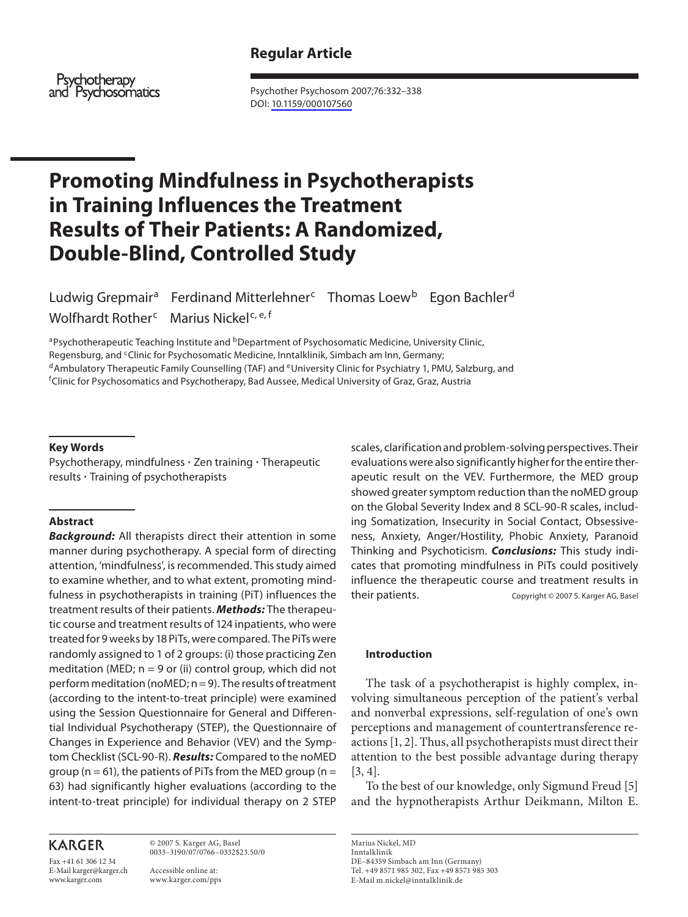# **Regular Article**

Psychotherapy and Psychosomatics

 Psychother Psychosom 2007;76:332–338 DOI: [10.1159/000107560](http://dx.doi.org/10.1159%2F000107560)

# **Promoting Mindfulness in Psychotherapists in Training Influences the Treatment Results of Their Patients: A Randomized, Double-Blind, Controlled Study**

Ludwig Grepmair<sup>a</sup> Ferdinand Mitterlehner<sup>c</sup> Thomas Loew<sup>b</sup> Egon Bachler<sup>d</sup> Wolfhardt Rother <sup>c</sup> Marius Nickel<sup>c, e, f</sup>

<sup>a</sup> Psychotherapeutic Teaching Institute and <sup>b</sup> Department of Psychosomatic Medicine, University Clinic, Regensburg, and <sup>c</sup>Clinic for Psychosomatic Medicine, Inntalklinik, Simbach am Inn, Germany; <sup>d</sup> Ambulatory Therapeutic Family Counselling (TAF) and <sup>e</sup> University Clinic for Psychiatry 1, PMU, Salzburg, and <sup>f</sup> Clinic for Psychosomatics and Psychotherapy, Bad Aussee, Medical University of Graz, Graz, Austria

## **Key Words**

Psychotherapy, mindfulness · Zen training · Therapeutic results - Training of psychotherapists

## **Abstract**

 *Background:* All therapists direct their attention in some manner during psychotherapy. A special form of directing attention, 'mindfulness', is recommended. This study aimed to examine whether, and to what extent, promoting mindfulness in psychotherapists in training (PiT) influences the treatment results of their patients. *Methods:* The therapeutic course and treatment results of 124 inpatients, who were treated for 9 weeks by 18 PiTs, were compared. The PiTs were randomly assigned to 1 of 2 groups: (i) those practicing Zen meditation (MED;  $n = 9$  or (ii) control group, which did not perform meditation (noMED;  $n = 9$ ). The results of treatment (according to the intent-to-treat principle) were examined using the Session Questionnaire for General and Differential Individual Psychotherapy (STEP), the Questionnaire of Changes in Experience and Behavior (VEV) and the Symptom Checklist (SCL-90-R). *Results:* Compared to the noMED group ( $n = 61$ ), the patients of PiTs from the MED group ( $n =$ 63) had significantly higher evaluations (according to the intent-to-treat principle) for individual therapy on 2 STEP

## **KARGER**

Fax +41 61 306 12 34 E-Mail karger@karger.ch www.karger.com

 © 2007 S. Karger AG, Basel 0033–3190/07/0766–0332\$23.50/0

 Accessible online at: www.karger.com/pps scales, clarification and problem-solving perspectives. Their evaluations were also significantly higher for the entire therapeutic result on the VEV. Furthermore, the MED group showed greater symptom reduction than the noMED group on the Global Severity Index and 8 SCL-90-R scales, including Somatization, Insecurity in Social Contact, Obsessiveness, Anxiety, Anger/Hostility, Phobic Anxiety, Paranoid Thinking and Psychoticism. *Conclusions:* This study indicates that promoting mindfulness in PiTs could positively influence the therapeutic course and treatment results in their patients. Copyright © 2007 S. Karger AG, Basel

## **Introduction**

 The task of a psychotherapist is highly complex, involving simultaneous perception of the patient's verbal and nonverbal expressions, self-regulation of one's own perceptions and management of countertransference reactions [1, 2] . Thus, all psychotherapists must direct their attention to the best possible advantage during therapy  $[3, 4]$ .

 To the best of our knowledge, only Sigmund Freud [5] and the hypnotherapists Arthur Deikmann, Milton E.

 Marius Nickel, MD Inntalklinik DE–84359 Simbach am Inn (Germany) Tel. +49 8571 985 302, Fax +49 8571 985 303 E-Mail m.nickel@inntalklinik.de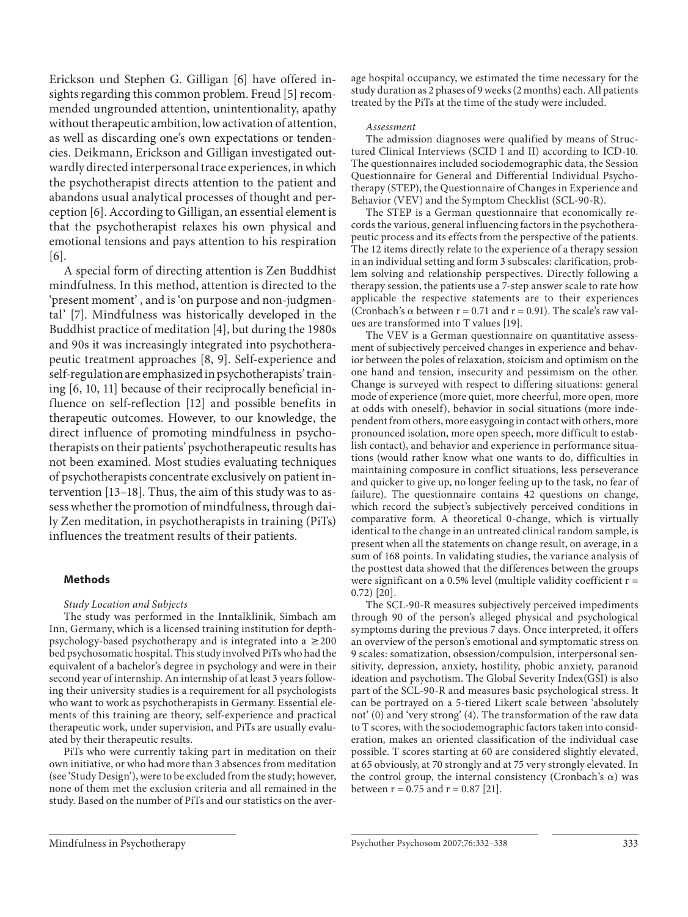Erickson und Stephen G. Gilligan [6] have offered insights regarding this common problem. Freud [5] recommended ungrounded attention, unintentionality, apathy without therapeutic ambition, low activation of attention, as well as discarding one's own expectations or tendencies. Deikmann, Erickson and Gilligan investigated outwardly directed interpersonal trace experiences, in which the psychotherapist directs attention to the patient and abandons usual analytical processes of thought and perception [6]. According to Gilligan, an essential element is that the psychotherapist relaxes his own physical and emotional tensions and pays attention to his respiration  $[6]$ .

 A special form of directing attention is Zen Buddhist mindfulness. In this method, attention is directed to the 'present moment' , and is 'on purpose and non-judgmental' [7]. Mindfulness was historically developed in the Buddhist practice of meditation [4], but during the 1980s and 90s it was increasingly integrated into psychotherapeutic treatment approaches [8, 9]. Self-experience and self-regulation are emphasized in psychotherapists' training  $[6, 10, 11]$  because of their reciprocally beneficial influence on self-reflection [12] and possible benefits in therapeutic outcomes. However, to our knowledge, the direct influence of promoting mindfulness in psychotherapists on their patients' psychotherapeutic results has not been examined. Most studies evaluating techniques of psychotherapists concentrate exclusively on patient intervention [13–18] . Thus, the aim of this study was to assess whether the promotion of mindfulness, through daily Zen meditation, in psychotherapists in training (PiTs) influences the treatment results of their patients.

## **Methods**

## *Study Location and Subjects*

 The study was performed in the Inntalklinik, Simbach am Inn, Germany, which is a licensed training institution for depthpsychology-based psychotherapy and is integrated into a  $\geq 200$ bed psychosomatic hospital. This study involved PiTs who had the equivalent of a bachelor's degree in psychology and were in their second year of internship. An internship of at least 3 years following their university studies is a requirement for all psychologists who want to work as psychotherapists in Germany. Essential elements of this training are theory, self-experience and practical therapeutic work, under supervision, and PiTs are usually evaluated by their therapeutic results.

 PiTs who were currently taking part in meditation on their own initiative, or who had more than 3 absences from meditation (see 'Study Design'), were to be excluded from the study; however, none of them met the exclusion criteria and all remained in the study. Based on the number of PiTs and our statistics on the average hospital occupancy, we estimated the time necessary for the study duration as 2 phases of 9 weeks (2 months) each. All patients treated by the PiTs at the time of the study were included.

#### *Assessment*

 The admission diagnoses were qualified by means of Structured Clinical Interviews (SCID I and II) according to ICD-10. The questionnaires included sociodemographic data, the Session Questionnaire for General and Differential Individual Psychotherapy (STEP), the Questionnaire of Changes in Experience and Behavior (VEV) and the Symptom Checklist (SCL-90-R).

 The STEP is a German questionnaire that economically records the various, general influencing factors in the psychotherapeutic process and its effects from the perspective of the patients. The 12 items directly relate to the experience of a therapy session in an individual setting and form 3 subscales: clarification, problem solving and relationship perspectives. Directly following a therapy session, the patients use a 7-step answer scale to rate how applicable the respective statements are to their experiences (Cronbach's  $\alpha$  between r = 0.71 and r = 0.91). The scale's raw values are transformed into T values [19] .

 The VEV is a German questionnaire on quantitative assessment of subjectively perceived changes in experience and behavior between the poles of relaxation, stoicism and optimism on the one hand and tension, insecurity and pessimism on the other. Change is surveyed with respect to differing situations: general mode of experience (more quiet, more cheerful, more open, more at odds with oneself), behavior in social situations (more independent from others, more easygoing in contact with others, more pronounced isolation, more open speech, more difficult to establish contact), and behavior and experience in performance situations (would rather know what one wants to do, difficulties in maintaining composure in conflict situations, less perseverance and quicker to give up, no longer feeling up to the task, no fear of failure). The questionnaire contains 42 questions on change, which record the subject's subjectively perceived conditions in comparative form. A theoretical 0-change, which is virtually identical to the change in an untreated clinical random sample, is present when all the statements on change result, on average, in a sum of 168 points. In validating studies, the variance analysis of the posttest data showed that the differences between the groups were significant on a 0.5% level (multiple validity coefficient  $r =$  $0.72)$  [20].

 The SCL-90-R measures subjectively perceived impediments through 90 of the person's alleged physical and psychological symptoms during the previous 7 days. Once interpreted, it offers an overview of the person's emotional and symptomatic stress on 9 scales: somatization, obsession/compulsion, interpersonal sensitivity, depression, anxiety, hostility, phobic anxiety, paranoid ideation and psychotism. The Global Severity Index(GSI) is also part of the SCL-90-R and measures basic psychological stress. It can be portrayed on a 5-tiered Likert scale between 'absolutely not' (0) and 'very strong' (4). The transformation of the raw data to T scores, with the sociodemographic factors taken into consideration, makes an oriented classification of the individual case possible. T scores starting at 60 are considered slightly elevated, at 65 obviously, at 70 strongly and at 75 very strongly elevated. In the control group, the internal consistency (Cronbach's  $\alpha$ ) was between  $r = 0.75$  and  $r = 0.87$  [21].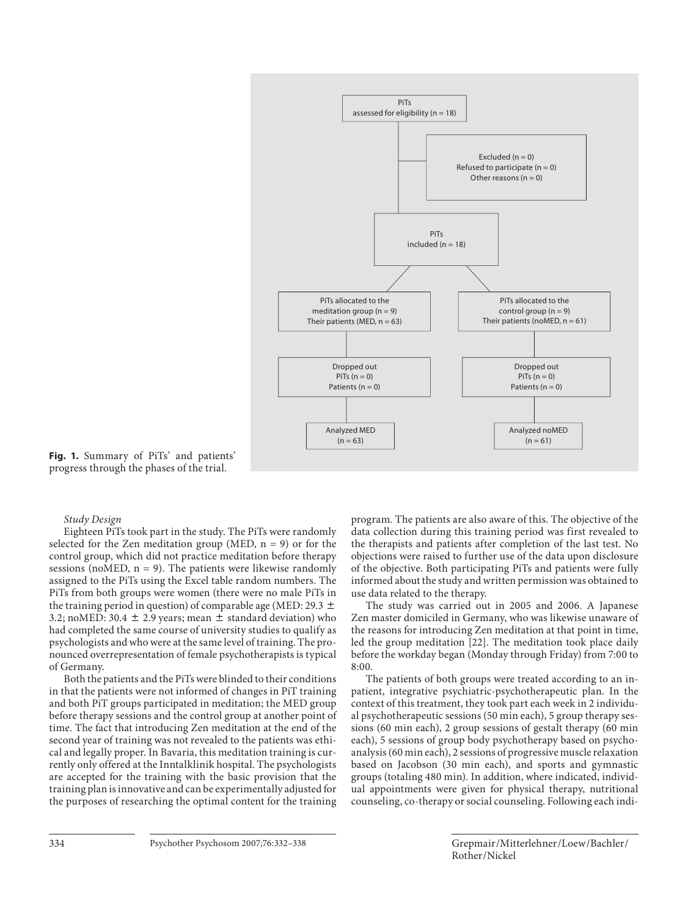

 **Fig. 1.** Summary of PiTs' and patients' progress through the phases of the trial.

## *Study Design*

 Eighteen PiTs took part in the study. The PiTs were randomly selected for the Zen meditation group (MED,  $n = 9$ ) or for the control group, which did not practice meditation before therapy sessions (noMED,  $n = 9$ ). The patients were likewise randomly assigned to the PiTs using the Excel table random numbers. The PiTs from both groups were women (there were no male PiTs in the training period in question) of comparable age (MED: 29.3  $\pm$ 3.2; noMED: 30.4  $\pm$  2.9 years; mean  $\pm$  standard deviation) who had completed the same course of university studies to qualify as psychologists and who were at the same level of training. The pronounced overrepresentation of female psychotherapists is typical of Germany.

 Both the patients and the PiTs were blinded to their conditions in that the patients were not informed of changes in PiT training and both PiT groups participated in meditation; the MED group before therapy sessions and the control group at another point of time. The fact that introducing Zen meditation at the end of the second year of training was not revealed to the patients was ethical and legally proper. In Bavaria, this meditation training is currently only offered at the Inntalklinik hospital. The psychologists are accepted for the training with the basic provision that the training plan is innovative and can be experimentally adjusted for the purposes of researching the optimal content for the training

program. The patients are also aware of this. The objective of the data collection during this training period was first revealed to the therapists and patients after completion of the last test. No objections were raised to further use of the data upon disclosure of the objective. Both participating PiTs and patients were fully informed about the study and written permission was obtained to use data related to the therapy.

 The study was carried out in 2005 and 2006. A Japanese Zen master domiciled in Germany, who was likewise unaware of the reasons for introducing Zen meditation at that point in time, led the group meditation [22]. The meditation took place daily before the workday began (Monday through Friday) from 7: 00 to 8: 00.

 The patients of both groups were treated according to an inpatient, integrative psychiatric-psychotherapeutic plan. In the context of this treatment, they took part each week in 2 individual psychotherapeutic sessions (50 min each), 5 group therapy sessions (60 min each), 2 group sessions of gestalt therapy (60 min each), 5 sessions of group body psychotherapy based on psychoanalysis (60 min each), 2 sessions of progressive muscle relaxation based on Jacobson (30 min each), and sports and gymnastic groups (totaling 480 min). In addition, where indicated, individual appointments were given for physical therapy, nutritional counseling, co-therapy or social counseling. Following each indi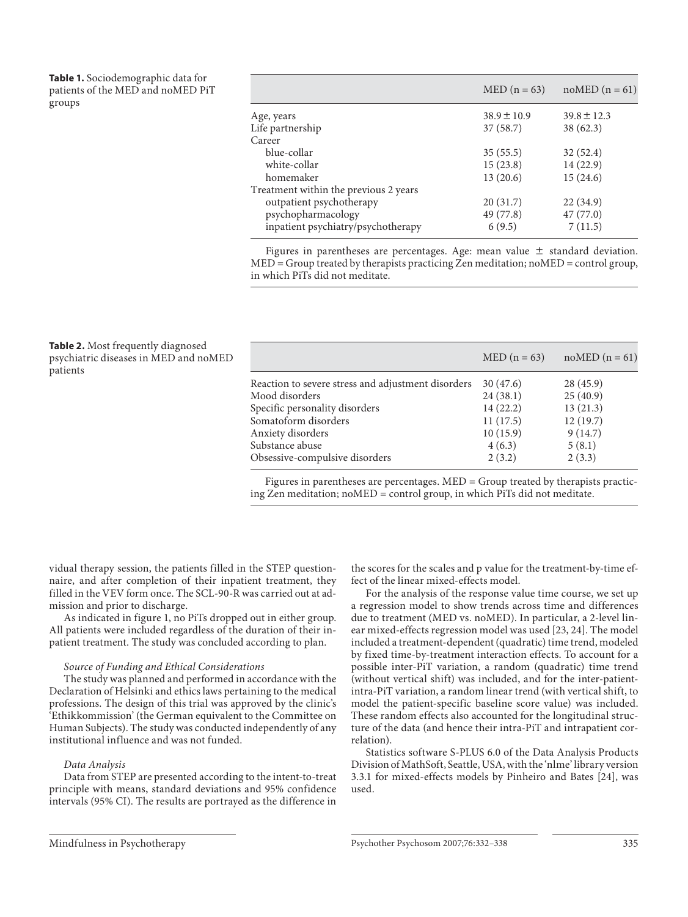**Table 1.** Sociodemographic data for patients of the MED and noMED PiT groups

**Table 2.** Most frequently diagnosed psychiatric diseases in MED and noMED

patients

|                                       | $MED (n = 63)$  | $noMED(n=61)$   |
|---------------------------------------|-----------------|-----------------|
| Age, years                            | $38.9 \pm 10.9$ | $39.8 \pm 12.3$ |
| Life partnership                      | 37(58.7)        | 38(62.3)        |
| Career                                |                 |                 |
| blue-collar                           | 35(55.5)        | 32(52.4)        |
| white-collar                          | 15(23.8)        | 14 (22.9)       |
| homemaker                             | 13(20.6)        | 15(24.6)        |
| Treatment within the previous 2 years |                 |                 |
| outpatient psychotherapy              | 20(31.7)        | 22(34.9)        |
| psychopharmacology                    | 49 (77.8)       | 47 (77.0)       |
| inpatient psychiatry/psychotherapy    | 6(9.5)          | 7(11.5)         |

Figures in parentheses are percentages. Age: mean value  $\pm$  standard deviation. MED = Group treated by therapists practicing Zen meditation; noMED = control group, in which PiTs did not meditate.

|                                                    | $MED (n = 63)$ | $noMED(n=61)$ |
|----------------------------------------------------|----------------|---------------|
| Reaction to severe stress and adjustment disorders | 30(47.6)       | 28(45.9)      |
| Mood disorders                                     | 24(38.1)       | 25(40.9)      |
| Specific personality disorders                     | 14(22.2)       | 13(21.3)      |
| Somatoform disorders                               | 11(17.5)       | 12(19.7)      |
| Anxiety disorders                                  | 10(15.9)       | 9(14.7)       |
| Substance abuse                                    | 4(6.3)         | 5(8.1)        |
| Obsessive-compulsive disorders                     | 2(3.2)         | 2(3.3)        |
|                                                    |                |               |

Figures in parentheses are percentages. MED = Group treated by therapists practicing Zen meditation; noMED = control group, in which PiTs did not meditate.

vidual therapy session, the patients filled in the STEP questionnaire, and after completion of their inpatient treatment, they filled in the VEV form once. The SCL-90-R was carried out at admission and prior to discharge.

As indicated in figure 1, no PiTs dropped out in either group. All patients were included regardless of the duration of their inpatient treatment. The study was concluded according to plan.

## *Source of Funding and Ethical Considerations*

 The study was planned and performed in accordance with the Declaration of Helsinki and ethics laws pertaining to the medical professions. The design of this trial was approved by the clinic's 'Ethikkommission' (the German equivalent to the Committee on Human Subjects). The study was conducted independently of any institutional influence and was not funded.

#### *Data Analysis*

 Data from STEP are presented according to the intent-to-treat principle with means, standard deviations and 95% confidence intervals (95% CI). The results are portrayed as the difference in the scores for the scales and p value for the treatment-by-time effect of the linear mixed-effects model.

 For the analysis of the response value time course, we set up a regression model to show trends across time and differences due to treatment (MED vs. noMED). In particular, a 2-level linear mixed-effects regression model was used [23, 24] . The model included a treatment-dependent (quadratic) time trend, modeled by fixed time-by-treatment interaction effects. To account for a possible inter-PiT variation, a random (quadratic) time trend (without vertical shift) was included, and for the inter-patientintra-PiT variation, a random linear trend (with vertical shift, to model the patient-specific baseline score value) was included. These random effects also accounted for the longitudinal structure of the data (and hence their intra-PiT and intrapatient correlation).

 Statistics software S-PLUS 6.0 of the Data Analysis Products Division of MathSoft, Seattle, USA, with the 'nlme' library version 3.3.1 for mixed-effects models by Pinheiro and Bates [24] , was used.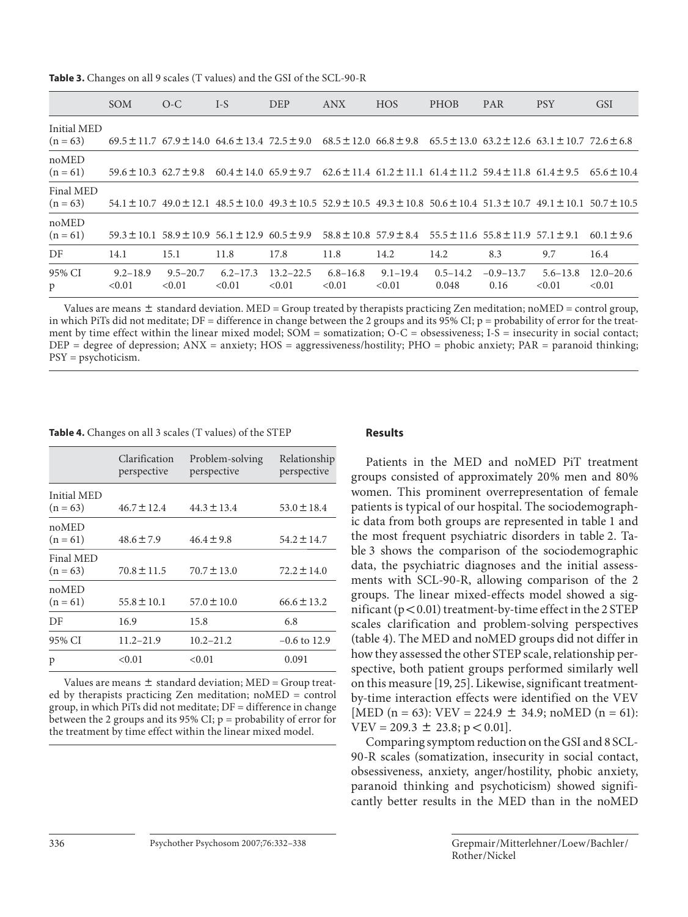**Table 3.** Changes on all 9 scales (T values) and the GSI of the SCL-90-R

|                           | <b>SOM</b>                     | $O-C$                                                          | $I-S$                  | <b>DEP</b>                     | <b>ANX</b>                                                                                                                                                      | <b>HOS</b>             | PHOB                  | <b>PAR</b>                                                                     | <b>PSY</b>             | <b>GSI</b>              |
|---------------------------|--------------------------------|----------------------------------------------------------------|------------------------|--------------------------------|-----------------------------------------------------------------------------------------------------------------------------------------------------------------|------------------------|-----------------------|--------------------------------------------------------------------------------|------------------------|-------------------------|
| Initial MED<br>$(n = 63)$ |                                | $69.5 \pm 11.7$ $67.9 \pm 14.0$ $64.6 \pm 13.4$ $72.5 \pm 9.0$ |                        |                                | $68.5 \pm 12.0$ $66.8 \pm 9.8$                                                                                                                                  |                        |                       | $65.5 \pm 13.0$ $63.2 \pm 12.6$ $63.1 \pm 10.7$ $72.6 \pm 6.8$                 |                        |                         |
| noMED<br>$(n = 61)$       | $59.6 \pm 10.3$ $62.7 \pm 9.8$ |                                                                |                        | $60.4 \pm 14.0$ $65.9 \pm 9.7$ |                                                                                                                                                                 |                        |                       | $62.6 \pm 11.4$ $61.2 \pm 11.1$ $61.4 \pm 11.2$ $59.4 \pm 11.8$ $61.4 \pm 9.5$ |                        | $65.6 \pm 10.4$         |
| Final MED<br>$(n = 63)$   |                                |                                                                |                        |                                | $54.1 \pm 10.7$ $49.0 \pm 12.1$ $48.5 \pm 10.0$ $49.3 \pm 10.5$ $52.9 \pm 10.5$ $49.3 \pm 10.8$ $50.6 \pm 10.4$ $51.3 \pm 10.7$ $49.1 \pm 10.1$ $50.7 \pm 10.5$ |                        |                       |                                                                                |                        |                         |
| noMED<br>$(n = 61)$       |                                | $59.3 \pm 10.1$ $58.9 \pm 10.9$ $56.1 \pm 12.9$ $60.5 \pm 9.9$ |                        |                                | $58.8 \pm 10.8$ $57.9 \pm 8.4$                                                                                                                                  |                        |                       | $55.5 \pm 11.6$ $55.8 \pm 11.9$ $57.1 \pm 9.1$                                 |                        | $60.1 \pm 9.6$          |
| DF                        | 14.1                           | 15.1                                                           | 11.8                   | 17.8                           | 11.8                                                                                                                                                            | 14.2                   | 14.2                  | 8.3                                                                            | 9.7                    | 16.4                    |
| 95% CI<br>p               | $9.2 - 18.9$<br>< 0.01         | $9.5 - 20.7$<br>< 0.01                                         | $6.2 - 17.3$<br>< 0.01 | $13.2 - 22.5$<br>< 0.01        | $6.8 - 16.8$<br>< 0.01                                                                                                                                          | $9.1 - 19.4$<br>< 0.01 | $0.5 - 14.2$<br>0.048 | $-0.9 - 13.7$<br>0.16                                                          | $5.6 - 13.8$<br>< 0.01 | $12.0 - 20.6$<br>< 0.01 |

Values are means  $\pm$  standard deviation. MED = Group treated by therapists practicing Zen meditation; noMED = control group, in which PiTs did not meditate;  $DF =$  difference in change between the 2 groups and its 95% CI;  $p =$  probability of error for the treatment by time effect within the linear mixed model; SOM = somatization; O-C = obsessiveness; I-S = insecurity in social contact; DEP = degree of depression;  $ANX =$  anxiety;  $HOS =$  aggressiveness/hostility;  $PHO =$  phobic anxiety;  $PAR =$  paranoid thinking; PSY = psychoticism.

**Table 4.** Changes on all 3 scales (T values) of the STEP

|                           | Clarification<br>perspective | Problem-solving<br>perspective | Relationship<br>perspective |
|---------------------------|------------------------------|--------------------------------|-----------------------------|
| Initial MED<br>$(n = 63)$ | $46.7 \pm 12.4$              | $44.3 \pm 13.4$                | $53.0 \pm 18.4$             |
| noMED<br>$(n = 61)$       | $48.6 \pm 7.9$               | $46.4 \pm 9.8$                 | $54.2 \pm 14.7$             |
| Final MED<br>$(n = 63)$   | $70.8 \pm 11.5$              | $70.7 \pm 13.0$                | $72.2 \pm 14.0$             |
| noMED<br>$(n = 61)$       | $55.8 \pm 10.1$              | $57.0 \pm 10.0$                | $66.6 \pm 13.2$             |
| DF                        | 16.9                         | 15.8                           | 6.8                         |
| 95% CI                    | $11.2 - 21.9$                | $10.2 - 21.2$                  | $-0.6$ to 12.9              |
| p                         | < 0.01                       | < 0.01                         | 0.091                       |

Values are means  $\pm$  standard deviation; MED = Group treated by therapists practicing Zen meditation; noMED = control group, in which PiTs did not meditate; DF = difference in change between the 2 groups and its 95% CI; p = probability of error for the treatment by time effect within the linear mixed model.

## **Results**

 Patients in the MED and noMED PiT treatment groups consisted of approximately 20% men and 80% women. This prominent overrepresentation of female patients is typical of our hospital. The sociodemographic data from both groups are represented in table 1 and the most frequent psychiatric disorders in table 2. Table 3 shows the comparison of the sociodemographic data, the psychiatric diagnoses and the initial assessments with SCL-90-R, allowing comparison of the 2 groups. The linear mixed-effects model showed a significant ( $p < 0.01$ ) treatment-by-time effect in the 2 STEP scales clarification and problem-solving perspectives (table 4). The MED and noMED groups did not differ in how they assessed the other STEP scale, relationship perspective, both patient groups performed similarly well on this measure [19, 25] . Likewise, significant treatmentby-time interaction effects were identified on the VEV [MED (n = 63):  $VEV = 224.9 \pm 34.9$ ; noMED (n = 61):  $VEV = 209.3 \pm 23.8$ ; p < 0.01].

 Comparing symptom reduction on the GSI and 8 SCL-90-R scales (somatization, insecurity in social contact, obsessiveness, anxiety, anger/hostility, phobic anxiety, paranoid thinking and psychoticism) showed significantly better results in the MED than in the noMED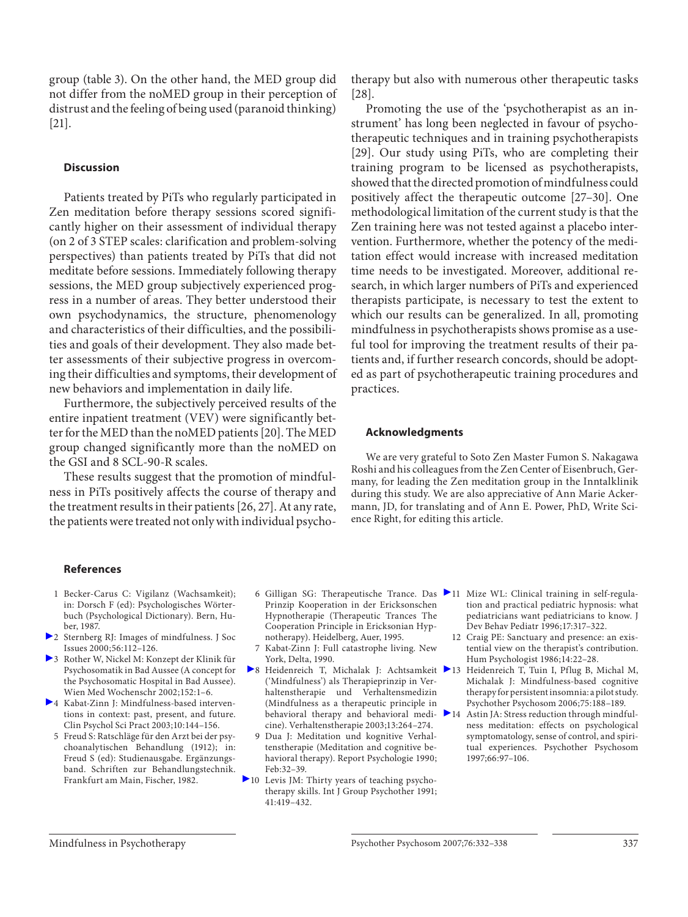group (table 3). On the other hand, the MED group did not differ from the noMED group in their perception of distrust and the feeling of being used (paranoid thinking)  $[21]$ .

## **Discussion**

 Patients treated by PiTs who regularly participated in Zen meditation before therapy sessions scored significantly higher on their assessment of individual therapy (on 2 of 3 STEP scales: clarification and problem-solving perspectives) than patients treated by PiTs that did not meditate before sessions. Immediately following therapy sessions, the MED group subjectively experienced progress in a number of areas. They better understood their own psychodynamics, the structure, phenomenology and characteristics of their difficulties, and the possibilities and goals of their development. They also made better assessments of their subjective progress in overcoming their difficulties and symptoms, their development of new behaviors and implementation in daily life.

 Furthermore, the subjectively perceived results of the entire inpatient treatment (VEV) were significantly better for the MED than the noMED patients [20] . The MED group changed significantly more than the noMED on the GSI and 8 SCL-90-R scales.

 These results suggest that the promotion of mindfulness in PiTs positively affects the course of therapy and the treatment results in their patients [26, 27] . At any rate, the patients were treated not only with individual psychotherapy but also with numerous other therapeutic tasks [28].

 Promoting the use of the 'psychotherapist as an instrument' has long been neglected in favour of psychotherapeutic techniques and in training psychotherapists [29]. Our study using PiTs, who are completing their training program to be licensed as psychotherapists, showed that the directed promotion of mindfulness could positively affect the therapeutic outcome [27–30]. One methodological limitation of the current study is that the Zen training here was not tested against a placebo intervention. Furthermore, whether the potency of the meditation effect would increase with increased meditation time needs to be investigated. Moreover, additional research, in which larger numbers of PiTs and experienced therapists participate, is necessary to test the extent to which our results can be generalized. In all, promoting mindfulness in psychotherapists shows promise as a useful tool for improving the treatment results of their patients and, if further research concords, should be adopted as part of psychotherapeutic training procedures and practices.

## **Acknowledgments**

 We are very grateful to Soto Zen Master Fumon S. Nakagawa Roshi and his colleagues from the Zen Center of Eisenbruch, Germany, for leading the Zen meditation group in the Inntalklinik during this study. We are also appreciative of Ann Marie Ackermann, JD, for translating and of Ann E. Power, PhD, Write Science Right, for editing this article.

## **References**

- 1 Becker-Carus C: Vigilanz (Wachsamkeit); in: Dorsch F (ed): Psychologisches Wörterbuch (Psychological Dictionary). Bern, Huber, 1987.
- 2 Sternberg RJ: Images of mindfulness. J Soc Issues 2000; 56: 112–126.
- 3 Rother W, Nickel M: Konzept der Klinik für Psychosomatik in Bad Aussee (A concept for the Psychosomatic Hospital in Bad Aussee). Wien Med Wochenschr 2002;152:1-6.
- 4 Kabat-Zinn J: Mindfulness-based interventions in context: past, present, and future. Clin Psychol Sci Pract 2003; 10: 144–156.
- 5 Freud S: Ratschläge für den Arzt bei der psychoanalytischen Behandlung (1912); in: Freud S (ed): Studienausgabe. Ergänzungsband. Schriften zur Behandlungstechnik. Frankfurt am Main, Fischer, 1982.
- Prinzip Kooperation in der Ericksonschen Hypnotherapie (Therapeutic Trances The Cooperation Principle in Ericksonian Hypnotherapy). Heidelberg, Auer, 1995.
- 7 Kabat-Zinn J: Full catastrophe living. New York, Delta, 1990.
- 8 Heidenreich T, Michalak J: Achtsamkeit 13 Heidenreich T, Tuin I, Pflug B, Michal M, ('Mindfulness') als Therapieprinzip in Verhaltenstherapie und Verhaltensmedizin (Mindfulness as a therapeutic principle in behavioral therapy and behavioral medicine). Verhaltenstherapie 2003;13:264–274.
- 9 Dua J: Meditation und kognitive Verhaltenstherapie (Meditation and cognitive behavioral therapy). Report Psychologie 1990; Feb:32–39.
- 10 Levis JM: Thirty years of teaching psychotherapy skills. Int J Group Psychother 1991; 41:419-432.
- 6 Gilligan SG: Therapeutische Trance. Das 11 Mize WL: Clinical training in self-regulation and practical pediatric hypnosis: what pediatricians want pediatricians to know. J Dev Behav Pediatr 1996; 17:317-322.
	- 12 Craig PE: Sanctuary and presence: an existential view on the therapist's contribution. Hum Psychologist 1986;14:22-28.
	- Michalak J: Mindfulness-based cognitive therapy for persistent insomnia: a pilot study. Psychother Psychosom 2006; 75: 188–189.
	- 14 Astin JA: Stress reduction through mindfulness meditation: effects on psychological symptomatology, sense of control, and spiritual experiences. Psychother Psychosom 1997; 66: 97 - 106.